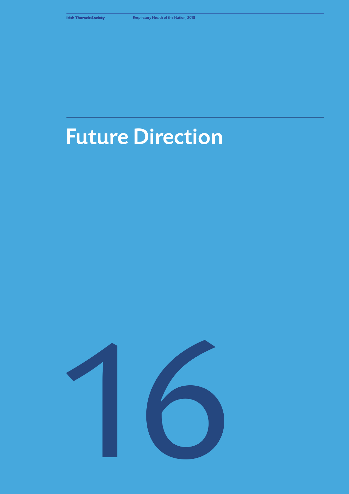# Future Direction

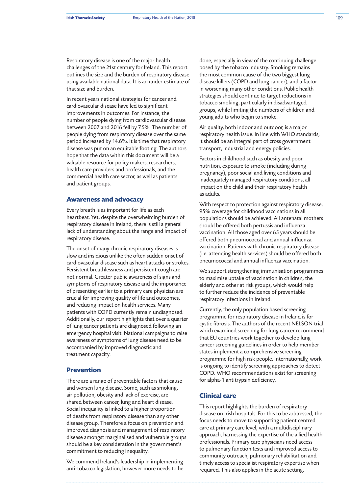Respiratory disease is one of the major health challenges of the 21st century for Ireland. This report outlines the size and the burden of respiratory disease using available national data. It is an under-estimate of that size and burden.

In recent years national strategies for cancer and cardiovascular disease have led to significant improvements in outcomes. For instance, the number of people dying from cardiovascular disease between 2007 and 2016 fell by 7.5%. The number of people dying from respiratory disease over the same period increased by 14.6%. It is time that respiratory disease was put on an equitable footing. The authors hope that the data within this document will be a valuable resource for policy makers, researchers, health care providers and professionals, and the commercial health care sector, as well as patients and patient groups.

# **Awareness and advocacy**

Every breath is as important for life as each heartbeat. Yet, despite the overwhelming burden of respiratory disease in Ireland, there is still a general lack of understanding about the range and impact of respiratory disease.

The onset of many chronic respiratory diseases is slow and insidious unlike the often sudden onset of cardiovascular disease such as heart attacks or strokes. Persistent breathlessness and persistent cough are not normal. Greater public awareness of signs and symptoms of respiratory disease and the importance of presenting earlier to a primary care physician are crucial for improving quality of life and outcomes, and reducing impact on health services. Many patients with COPD currently remain undiagnosed. Additionally, our report highlights that over a quarter of lung cancer patients are diagnosed following an emergency hospital visit. National campaigns to raise awareness of symptoms of lung disease need to be accompanied by improved diagnostic and treatment capacity.

### **Prevention**

There are a range of preventable factors that cause and worsen lung disease. Some, such as smoking, air pollution, obesity and lack of exercise, are shared between cancer, lung and heart disease. Social inequality is linked to a higher proportion of deaths from respiratory disease than any other disease group. Therefore a focus on prevention and improved diagnosis and management of respiratory disease amongst marginalised and vulnerable groups should be a key consideration in the government's commitment to reducing inequality.

We commend Ireland's leadership in implementing anti-tobacco legislation, however more needs to be

done, especially in view of the continuing challenge posed by the tobacco industry. Smoking remains the most common cause of the two biggest lung disease killers (COPD and lung cancer), and a factor in worsening many other conditions. Public health strategies should continue to target reductions in tobacco smoking, particularly in disadvantaged groups, while limiting the numbers of children and young adults who begin to smoke.

Air quality, both indoor and outdoor, is a major respiratory health issue. In line with WHO standards, it should be an integral part of cross government transport, industrial and energy policies.

Factors in childhood such as obesity and poor nutrition, exposure to smoke (including during pregnancy), poor social and living conditions and inadequately managed respiratory conditions, all impact on the child and their respiratory health as adults.

With respect to protection against respiratory disease, 95% coverage for childhood vaccinations in all populations should be achieved. All antenatal mothers should be offered both pertussis and influenza vaccination. All those aged over 65 years should be offered both pneumococcal and annual influenza vaccination. Patients with chronic respiratory disease (i.e. attending health services) should be offered both pneumococcal and annual influenza vaccination.

We support strengthening immunisation programmes to maximise uptake of vaccination in children, the elderly and other at risk groups, which would help to further reduce the incidence of preventable respiratory infections in Ireland.

Currently, the only population based screening programme for respiratory disease in Ireland is for cystic fibrosis. The authors of the recent NELSON trial which examined screening for lung cancer recommend that EU countries work together to develop lung cancer screening guidelines in order to help member states implement a comprehensive screening programme for high risk people. Internationally, work is ongoing to identify screening approaches to detect COPD. WHO recommendations exist for screening for alpha-1 antitrypsin deficiency.

# **Clinical care**

This report highlights the burden of respiratory disease on Irish hospitals. For this to be addressed, the focus needs to move to supporting patient centred care at primary care level, with a multidisciplinary approach, harnessing the expertise of the allied health professionals. Primary care physicians need access to pulmonary function tests and improved access to community outreach, pulmonary rehabilitation and timely access to specialist respiratory expertise when required. This also applies in the acute setting.